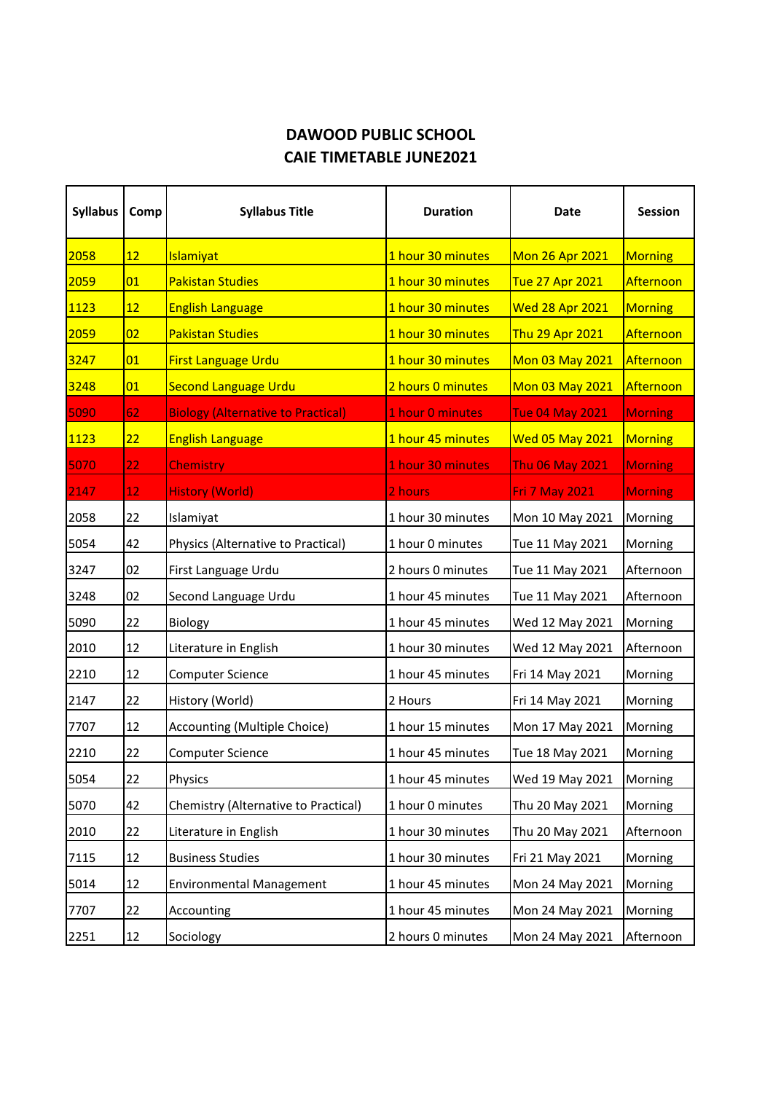## **DAWOOD PUBLIC SCHOOL CAIE TIMETABLE JUNE2021**

| <b>Syllabus</b> | Comp              | <b>Syllabus Title</b>                     | <b>Duration</b>   | Date                   | <b>Session</b> |
|-----------------|-------------------|-------------------------------------------|-------------------|------------------------|----------------|
| 2058            | 12                | Islamiyat                                 | 1 hour 30 minutes | Mon 26 Apr 2021        | <b>Morning</b> |
| 2059            | 01                | <b>Pakistan Studies</b>                   | 1 hour 30 minutes | Tue 27 Apr 2021        | Afternoon      |
| 1123            | 12                | <b>English Language</b>                   | 1 hour 30 minutes | <b>Wed 28 Apr 2021</b> | <b>Morning</b> |
| 2059            | 02                | <b>Pakistan Studies</b>                   | 1 hour 30 minutes | Thu 29 Apr 2021        | Afternoon      |
| 3247            | 01                | First Language Urdu                       | 1 hour 30 minutes | Mon 03 May 2021        | Afternoon      |
| 3248            | 01                | <b>Second Language Urdu</b>               | 2 hours 0 minutes | Mon 03 May 2021        | Afternoon      |
| 5090            | 62                | <b>Biology (Alternative to Practical)</b> | 1 hour 0 minutes  | <b>Tue 04 May 2021</b> | <b>Morning</b> |
| <b>1123</b>     | 22                | <b>English Language</b>                   | 1 hour 45 minutes | <b>Wed 05 May 2021</b> | Morning        |
| 5070            | 22 <sub>1</sub>   | <b>Chemistry</b>                          | 1 hour 30 minutes | <b>Thu 06 May 2021</b> | <b>Morning</b> |
| 2147            | $12 \overline{ }$ | <b>History (World)</b>                    | 2 hours           | <b>Fri 7 May 2021</b>  | <b>Morning</b> |
| 2058            | 22                | Islamiyat                                 | 1 hour 30 minutes | Mon 10 May 2021        | Morning        |
| 5054            | 42                | Physics (Alternative to Practical)        | 1 hour 0 minutes  | Tue 11 May 2021        | Morning        |
| 3247            | 02                | First Language Urdu                       | 2 hours 0 minutes | Tue 11 May 2021        | Afternoon      |
| 3248            | 02                | Second Language Urdu                      | 1 hour 45 minutes | Tue 11 May 2021        | Afternoon      |
| 5090            | 22                | Biology                                   | 1 hour 45 minutes | Wed 12 May 2021        | Morning        |
| 2010            | 12                | Literature in English                     | 1 hour 30 minutes | Wed 12 May 2021        | Afternoon      |
| 2210            | 12                | <b>Computer Science</b>                   | 1 hour 45 minutes | Fri 14 May 2021        | Morning        |
| 2147            | 22                | History (World)                           | 2 Hours           | Fri 14 May 2021        | Morning        |
| 7707            | 12                | Accounting (Multiple Choice)              | 1 hour 15 minutes | Mon 17 May 2021        | Morning        |
| 2210            | 22                | <b>Computer Science</b>                   | 1 hour 45 minutes | Tue 18 May 2021        | Morning        |
| 5054            | 22                | Physics                                   | 1 hour 45 minutes | Wed 19 May 2021        | Morning        |
| 5070            | 42                | Chemistry (Alternative to Practical)      | 1 hour 0 minutes  | Thu 20 May 2021        | Morning        |
| 2010            | 22                | Literature in English                     | 1 hour 30 minutes | Thu 20 May 2021        | Afternoon      |
| 7115            | 12                | <b>Business Studies</b>                   | 1 hour 30 minutes | Fri 21 May 2021        | Morning        |
| 5014            | 12                | <b>Environmental Management</b>           | 1 hour 45 minutes | Mon 24 May 2021        | Morning        |
| 7707            | 22                | Accounting                                | 1 hour 45 minutes | Mon 24 May 2021        | Morning        |
| 2251            | 12                | Sociology                                 | 2 hours 0 minutes | Mon 24 May 2021        | Afternoon      |